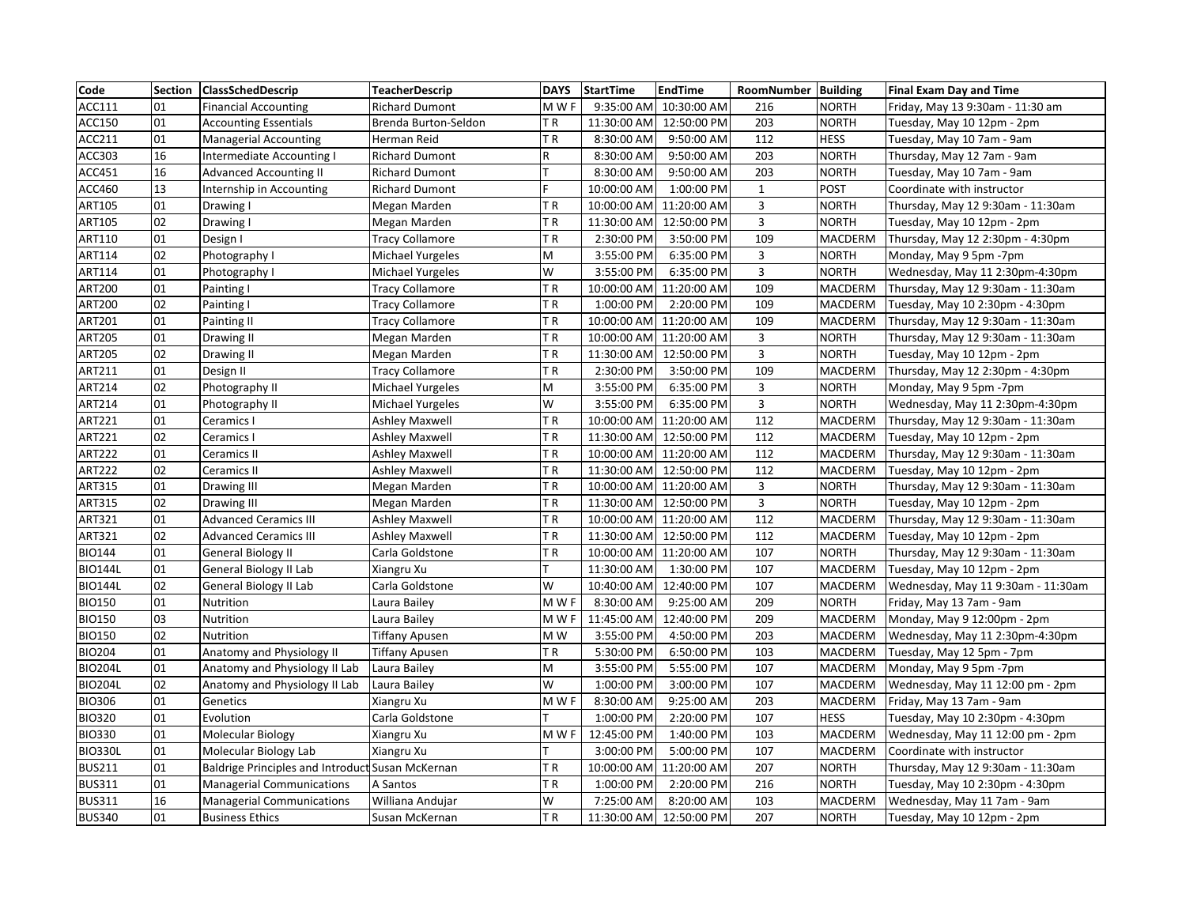| Code           |                | Section   ClassSchedDescrip                      | <b>TeacherDescrip</b>  | <b>DAYS</b> | <b>StartTime</b> | <b>EndTime</b>          | RoomNumber Building |                | <b>Final Exam Day and Time</b>     |
|----------------|----------------|--------------------------------------------------|------------------------|-------------|------------------|-------------------------|---------------------|----------------|------------------------------------|
| ACC111         | 01             | <b>Financial Accounting</b>                      | <b>Richard Dumont</b>  | M W F       | 9:35:00 AM       | 10:30:00 AM             | 216                 | <b>NORTH</b>   | Friday, May 13 9:30am - 11:30 am   |
| ACC150         | 01             | <b>Accounting Essentials</b>                     | Brenda Burton-Seldon   | TR          | 11:30:00 AM      | 12:50:00 PM             | 203                 | <b>NORTH</b>   | Tuesday, May 10 12pm - 2pm         |
| ACC211         | 01             | <b>Managerial Accounting</b>                     | Herman Reid            | ΤR          | 8:30:00 AM       | 9:50:00 AM              | 112                 | <b>HESS</b>    | Tuesday, May 10 7am - 9am          |
| ACC303         | 16             | Intermediate Accounting I                        | <b>Richard Dumont</b>  | ${\sf R}$   | 8:30:00 AM       | 9:50:00 AM              | 203                 | <b>NORTH</b>   | Thursday, May 12 7am - 9am         |
| ACC451         | 16             | <b>Advanced Accounting II</b>                    | <b>Richard Dumont</b>  |             | 8:30:00 AM       | 9:50:00 AM              | 203                 | <b>NORTH</b>   | Tuesday, May 10 7am - 9am          |
| ACC460         | 13             | Internship in Accounting                         | <b>Richard Dumont</b>  | F           | 10:00:00 AM      | 1:00:00 PM              | $\mathbf{1}$        | <b>POST</b>    | Coordinate with instructor         |
| ART105         | 01             | Drawing I                                        | Megan Marden           | TR          | 10:00:00 AM      | 11:20:00 AM             | $\mathbf{3}$        | <b>NORTH</b>   | Thursday, May 12 9:30am - 11:30am  |
| ART105         | 02             | Drawing I                                        | Megan Marden           | TR          | 11:30:00 AM      | 12:50:00 PM             | 3                   | <b>NORTH</b>   | Tuesday, May 10 12pm - 2pm         |
| ART110         | 01             | Design I                                         | Tracy Collamore        | TR          | 2:30:00 PM       | 3:50:00 PM              | 109                 | MACDERM        | Thursday, May 12 2:30pm - 4:30pm   |
| ART114         | 02             | Photography I                                    | Michael Yurgeles       | M           | 3:55:00 PM       | 6:35:00 PM              | 3                   | <b>NORTH</b>   | Monday, May 9 5pm -7pm             |
| ART114         | 01             | Photography I                                    | Michael Yurgeles       | W           | 3:55:00 PM       | 6:35:00 PM              | 3                   | <b>NORTH</b>   | Wednesday, May 11 2:30pm-4:30pm    |
| <b>ART200</b>  | 01             | Painting I                                       | <b>Tracy Collamore</b> | TR          |                  | 10:00:00 AM 11:20:00 AM | 109                 | MACDERM        | Thursday, May 12 9:30am - 11:30am  |
| <b>ART200</b>  | 02             | Painting I                                       | Tracy Collamore        | TR          | 1:00:00 PM       | 2:20:00 PM              | 109                 | MACDERM        | Tuesday, May 10 2:30pm - 4:30pm    |
| ART201         | 01             | Painting II                                      | <b>Tracy Collamore</b> | TR          |                  | 10:00:00 AM 11:20:00 AM | 109                 | MACDERM        | Thursday, May 12 9:30am - 11:30am  |
| <b>ART205</b>  | 01             | Drawing II                                       | Megan Marden           | TR          |                  | 10:00:00 AM 11:20:00 AM | 3                   | <b>NORTH</b>   | Thursday, May 12 9:30am - 11:30am  |
| <b>ART205</b>  | 02             | Drawing II                                       | Megan Marden           | TR          |                  | 11:30:00 AM 12:50:00 PM | 3                   | <b>NORTH</b>   | Tuesday, May 10 12pm - 2pm         |
| ART211         | 01             | Design II                                        | Tracy Collamore        | TR          | 2:30:00 PM       | 3:50:00 PM              | 109                 | MACDERM        | Thursday, May 12 2:30pm - 4:30pm   |
| ART214         | 02             | Photography II                                   | Michael Yurgeles       | M           | 3:55:00 PM       | 6:35:00 PM              | $\mathbf{3}$        | <b>NORTH</b>   | Monday, May 9 5pm -7pm             |
| ART214         | 01             | Photography II                                   | Michael Yurgeles       | W           | 3:55:00 PM       | 6:35:00 PM              | $\mathsf{3}$        | <b>NORTH</b>   | Wednesday, May 11 2:30pm-4:30pm    |
| ART221         | 01             | Ceramics I                                       | Ashley Maxwell         | TR          |                  | 10:00:00 AM 11:20:00 AM | 112                 | MACDERM        | Thursday, May 12 9:30am - 11:30am  |
| ART221         | $\overline{0}$ | Ceramics I                                       | Ashley Maxwell         | ΤR          |                  | 11:30:00 AM 12:50:00 PM | 112                 | MACDERM        | Tuesday, May 10 12pm - 2pm         |
| <b>ART222</b>  | 01             | Ceramics II                                      | Ashley Maxwell         | TR          |                  | 10:00:00 AM 11:20:00 AM | 112                 | MACDERM        | Thursday, May 12 9:30am - 11:30am  |
| <b>ART222</b>  | 02             | Ceramics II                                      | <b>Ashley Maxwell</b>  | ΤR          |                  | 11:30:00 AM 12:50:00 PM | 112                 | MACDERM        | Tuesday, May 10 12pm - 2pm         |
| ART315         | 01             | Drawing III                                      | Megan Marden           | TR          |                  | 10:00:00 AM 11:20:00 AM | $\mathbf{3}$        | <b>NORTH</b>   | Thursday, May 12 9:30am - 11:30am  |
| ART315         | 02             | Drawing III                                      | Megan Marden           | TR          |                  | 11:30:00 AM 12:50:00 PM | $\mathbf{3}$        | <b>NORTH</b>   | Tuesday, May 10 12pm - 2pm         |
| ART321         | 01             | <b>Advanced Ceramics III</b>                     | Ashley Maxwell         | TR          |                  | 10:00:00 AM 11:20:00 AM | 112                 | MACDERM        | Thursday, May 12 9:30am - 11:30am  |
| ART321         | 02             | <b>Advanced Ceramics III</b>                     | <b>Ashley Maxwell</b>  | TR          |                  | 11:30:00 AM 12:50:00 PM | 112                 | <b>MACDERM</b> | Tuesday, May 10 12pm - 2pm         |
| <b>BIO144</b>  | 01             | <b>General Biology II</b>                        | Carla Goldstone        | ΤR          |                  | 10:00:00 AM 11:20:00 AM | 107                 | <b>NORTH</b>   | Thursday, May 12 9:30am - 11:30am  |
| <b>BIO144L</b> | 01             | General Biology II Lab                           | Xiangru Xu             | Т           | 11:30:00 AM      | 1:30:00 PM              | 107                 | MACDERM        | Tuesday, May 10 12pm - 2pm         |
| <b>BIO144L</b> | 02             | General Biology II Lab                           | Carla Goldstone        | W           |                  | 10:40:00 AM 12:40:00 PM | 107                 | MACDERM        | Wednesday, May 11 9:30am - 11:30am |
| <b>BIO150</b>  | 01             | Nutrition                                        | Laura Bailey           | M W F       | 8:30:00 AM       | 9:25:00 AM              | 209                 | <b>NORTH</b>   | Friday, May 13 7am - 9am           |
| <b>BIO150</b>  | 03             | Nutrition                                        | Laura Bailey           | M W F       |                  | 11:45:00 AM 12:40:00 PM | 209                 | MACDERM        | Monday, May 9 12:00pm - 2pm        |
| <b>BIO150</b>  | 02             | Nutrition                                        | <b>Tiffany Apusen</b>  | M W         | 3:55:00 PM       | 4:50:00 PM              | 203                 | MACDERM        | Wednesday, May 11 2:30pm-4:30pm    |
| <b>BIO204</b>  | 01             | Anatomy and Physiology II                        | Tiffany Apusen         | TR.         | 5:30:00 PM       | 6:50:00 PM              | 103                 | <b>MACDERM</b> | Tuesday, May 12 5pm - 7pm          |
| <b>BIO204L</b> | 01             | Anatomy and Physiology II Lab                    | Laura Bailey           | M           | 3:55:00 PM       | 5:55:00 PM              | 107                 | MACDERM        | Monday, May 9 5pm -7pm             |
| <b>BIO204L</b> | 02             | Anatomy and Physiology II Lab                    | Laura Bailey           | W           | 1:00:00 PM       | 3:00:00 PM              | 107                 | MACDERM        | Wednesday, May 11 12:00 pm - 2pm   |
| <b>BIO306</b>  | 01             | Genetics                                         | Xiangru Xu             | M W F       | 8:30:00 AM       | 9:25:00 AM              | 203                 | <b>MACDERM</b> | Friday, May 13 7am - 9am           |
| <b>BIO320</b>  | 01             | Evolution                                        | Carla Goldstone        |             | 1:00:00 PM       | 2:20:00 PM              | 107                 | <b>HESS</b>    | Tuesday, May 10 2:30pm - 4:30pm    |
| <b>BIO330</b>  | 01             | Molecular Biology                                | Xiangru Xu             | M W F       | 12:45:00 PM      | 1:40:00 PM              | 103                 | MACDERM        | Wednesday, May 11 12:00 pm - 2pm   |
| <b>BIO330L</b> | 01             | Molecular Biology Lab                            | Xiangru Xu             |             | 3:00:00 PM       | 5:00:00 PM              | 107                 | <b>MACDERM</b> | Coordinate with instructor         |
| <b>BUS211</b>  | 01             | Baldrige Principles and Introduct Susan McKernan |                        | TR          |                  | 10:00:00 AM 11:20:00 AM | 207                 | <b>NORTH</b>   | Thursday, May 12 9:30am - 11:30am  |
| <b>BUS311</b>  | 01             | Managerial Communications                        | A Santos               | TR          | 1:00:00 PM       | 2:20:00 PM              | 216                 | <b>NORTH</b>   | Tuesday, May 10 2:30pm - 4:30pm    |
| <b>BUS311</b>  | 16             | <b>Managerial Communications</b>                 | Williana Andujar       | W           | 7:25:00 AM       | 8:20:00 AM              | 103                 | <b>MACDERM</b> | Wednesday, May 11 7am - 9am        |
| <b>BUS340</b>  | 01             | <b>Business Ethics</b>                           | Susan McKernan         | TR          |                  | 11:30:00 AM 12:50:00 PM | 207                 | <b>NORTH</b>   | Tuesday, May 10 12pm - 2pm         |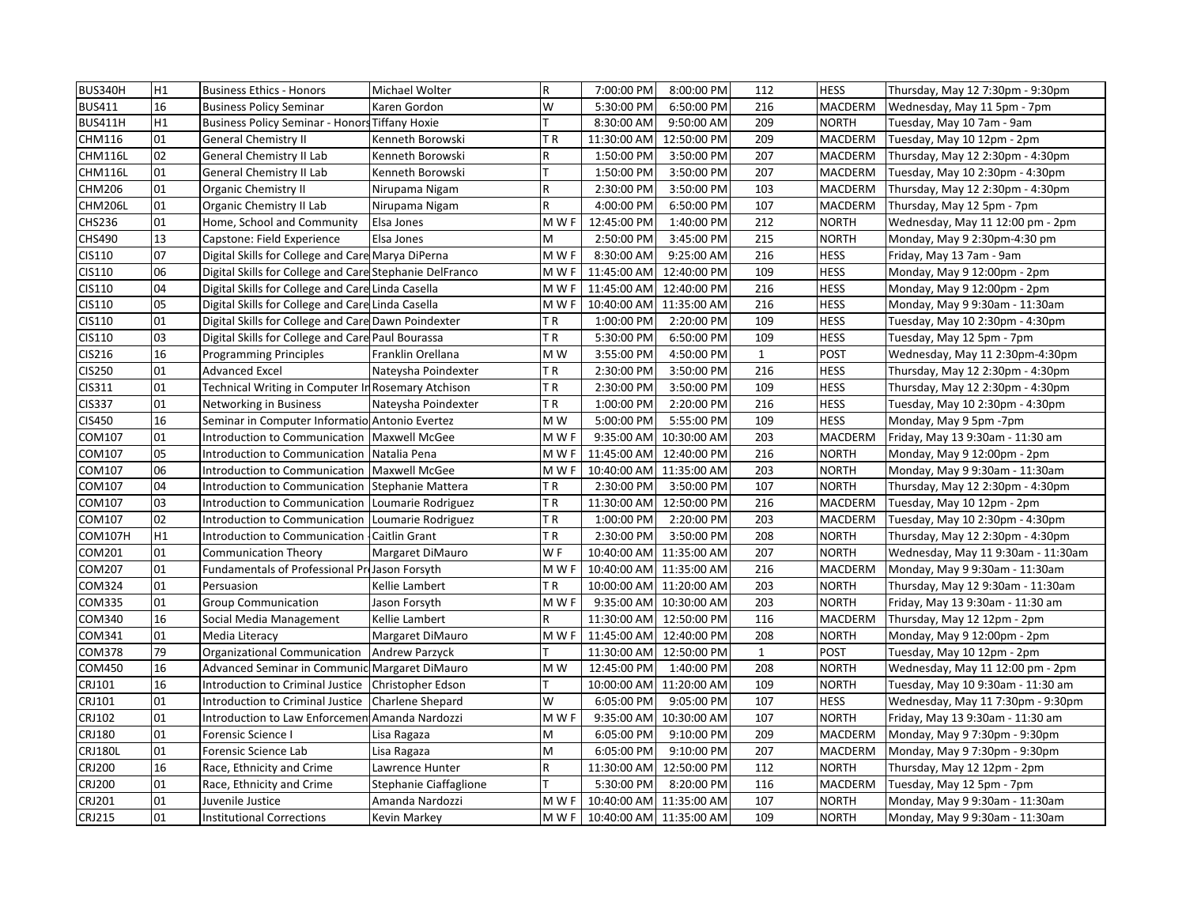| BUS340H        | H1 | <b>Business Ethics - Honors</b>                         | Michael Wolter         | $\mathsf R$ | 7:00:00 PM              | 8:00:00 PM              | 112          | <b>HESS</b>    | Thursday, May 12 7:30pm - 9:30pm   |
|----------------|----|---------------------------------------------------------|------------------------|-------------|-------------------------|-------------------------|--------------|----------------|------------------------------------|
| <b>BUS411</b>  | 16 | <b>Business Policy Seminar</b>                          | Karen Gordon           | W           | 5:30:00 PM              | 6:50:00 PM              | 216          | <b>MACDERM</b> | Wednesday, May 11 5pm - 7pm        |
| <b>BUS411H</b> | H1 | <b>Business Policy Seminar - Honors Tiffany Hoxie</b>   |                        | т           | 8:30:00 AM              | 9:50:00 AM              | 209          | <b>NORTH</b>   | Tuesday, May 10 7am - 9am          |
| CHM116         | 01 | <b>General Chemistry II</b>                             | Kenneth Borowski       | TR          | 11:30:00 AM             | 12:50:00 PM             | 209          | MACDERM        | Tuesday, May 10 12pm - 2pm         |
| <b>CHM116L</b> | 02 | General Chemistry II Lab                                | Kenneth Borowski       | $\mathsf R$ | 1:50:00 PM              | 3:50:00 PM              | 207          | MACDERM        | Thursday, May 12 2:30pm - 4:30pm   |
| <b>CHM116L</b> | 01 | General Chemistry II Lab                                | Kenneth Borowski       | T           | 1:50:00 PM              | 3:50:00 PM              | 207          | MACDERM        | Tuesday, May 10 2:30pm - 4:30pm    |
| <b>CHM206</b>  | 01 | <b>Organic Chemistry II</b>                             | Nirupama Nigam         | ${\sf R}$   | 2:30:00 PM              | 3:50:00 PM              | 103          | <b>MACDERM</b> | Thursday, May 12 2:30pm - 4:30pm   |
| <b>CHM206L</b> | 01 | Organic Chemistry II Lab                                | Nirupama Nigam         | $\mathsf R$ | 4:00:00 PM              | 6:50:00 PM              | 107          | MACDERM        | Thursday, May 12 5pm - 7pm         |
| <b>CHS236</b>  | 01 | Home, School and Community                              | Elsa Jones             | M W F       | 12:45:00 PM             | 1:40:00 PM              | 212          | <b>NORTH</b>   | Wednesday, May 11 12:00 pm - 2pm   |
| CHS490         | 13 | Capstone: Field Experience                              | Elsa Jones             | М           | 2:50:00 PM              | 3:45:00 PM              | 215          | <b>NORTH</b>   | Monday, May 9 2:30pm-4:30 pm       |
| CIS110         | 07 | Digital Skills for College and Care Marya DiPerna       |                        | M W F       | 8:30:00 AM              | 9:25:00 AM              | 216          | <b>HESS</b>    | Friday, May 13 7am - 9am           |
| CIS110         | 06 | Digital Skills for College and Care Stephanie DelFranco |                        | M W F       | 11:45:00 AM             | 12:40:00 PM             | 109          | <b>HESS</b>    | Monday, May 9 12:00pm - 2pm        |
| CIS110         | 04 | Digital Skills for College and Care Linda Casella       |                        | M W F       | 11:45:00 AM             | 12:40:00 PM             | 216          | <b>HESS</b>    | Monday, May 9 12:00pm - 2pm        |
| CIS110         | 05 | Digital Skills for College and Care Linda Casella       |                        | M W F       | 10:40:00 AM             | 11:35:00 AM             | 216          | <b>HESS</b>    | Monday, May 9 9:30am - 11:30am     |
| CIS110         | 01 | Digital Skills for College and Care Dawn Poindexter     |                        | ΤR          | 1:00:00 PM              | 2:20:00 PM              | 109          | <b>HESS</b>    | Tuesday, May 10 2:30pm - 4:30pm    |
| CIS110         | 03 | Digital Skills for College and Care Paul Bourassa       |                        | TR          | 5:30:00 PM              | 6:50:00 PM              | 109          | <b>HESS</b>    | Tuesday, May 12 5pm - 7pm          |
| CIS216         | 16 | <b>Programming Principles</b>                           | Franklin Orellana      | M W         | 3:55:00 PM              | 4:50:00 PM              | $\mathbf{1}$ | <b>POST</b>    | Wednesday, May 11 2:30pm-4:30pm    |
| <b>CIS250</b>  | 01 | <b>Advanced Excel</b>                                   | Nateysha Poindexter    | ΤR          | 2:30:00 PM              | 3:50:00 PM              | 216          | <b>HESS</b>    | Thursday, May 12 2:30pm - 4:30pm   |
| CIS311         | 01 | Technical Writing in Computer In Rosemary Atchison      |                        | ΤR          | 2:30:00 PM              | 3:50:00 PM              | 109          | <b>HESS</b>    | Thursday, May 12 2:30pm - 4:30pm   |
| <b>CIS337</b>  | 01 | Networking in Business                                  | Nateysha Poindexter    | TR          | 1:00:00 PM              | 2:20:00 PM              | 216          | <b>HESS</b>    | Tuesday, May 10 2:30pm - 4:30pm    |
| <b>CIS450</b>  | 16 | Seminar in Computer Informatio Antonio Evertez          |                        | M W         | 5:00:00 PM              | 5:55:00 PM              | 109          | <b>HESS</b>    | Monday, May 9 5pm -7pm             |
| COM107         | 01 | Introduction to Communication Maxwell McGee             |                        | M W F       | 9:35:00 AM              | 10:30:00 AM             | 203          | MACDERM        | Friday, May 13 9:30am - 11:30 am   |
| COM107         | 05 | Introduction to Communication Natalia Pena              |                        | M W F       | 11:45:00 AM             | 12:40:00 PM             | 216          | <b>NORTH</b>   | Monday, May 9 12:00pm - 2pm        |
| COM107         | 06 | Introduction to Communication   Maxwell McGee           |                        | M W F       | 10:40:00 AM 11:35:00 AM |                         | 203          | <b>NORTH</b>   | Monday, May 9 9:30am - 11:30am     |
| COM107         | 04 | Introduction to Communication Stephanie Mattera         |                        | ΤR          | 2:30:00 PM              | 3:50:00 PM              | 107          | <b>NORTH</b>   | Thursday, May 12 2:30pm - 4:30pm   |
| COM107         | 03 | Introduction to Communication   Loumarie Rodriguez      |                        | TR          | 11:30:00 AM             | 12:50:00 PM             | 216          | MACDERM        | Tuesday, May 10 12pm - 2pm         |
| COM107         | 02 | Introduction to Communication   Loumarie Rodriguez      |                        | TR          | 1:00:00 PM              | 2:20:00 PM              | 203          | MACDERM        | Tuesday, May 10 2:30pm - 4:30pm    |
| <b>COM107H</b> | H1 | Introduction to Communication - Caitlin Grant           |                        | ΤR          | 2:30:00 PM              | 3:50:00 PM              | 208          | <b>NORTH</b>   | Thursday, May 12 2:30pm - 4:30pm   |
| COM201         | 01 | <b>Communication Theory</b>                             | Margaret DiMauro       | WF          | 10:40:00 AM             | 11:35:00 AM             | 207          | <b>NORTH</b>   | Wednesday, May 11 9:30am - 11:30am |
| <b>COM207</b>  | 01 | Fundamentals of Professional PreJason Forsyth           |                        | M W F       | 10:40:00 AM 11:35:00 AM |                         | 216          | <b>MACDERM</b> | Monday, May 9 9:30am - 11:30am     |
| COM324         | 01 | Persuasion                                              | Kellie Lambert         | TR          |                         | 10:00:00 AM 11:20:00 AM | 203          | <b>NORTH</b>   | Thursday, May 12 9:30am - 11:30am  |
| COM335         | 01 | <b>Group Communication</b>                              | Jason Forsyth          | M W F       | 9:35:00 AM              | 10:30:00 AM             | 203          | <b>NORTH</b>   | Friday, May 13 9:30am - 11:30 am   |
| COM340         | 16 | Social Media Management                                 | Kellie Lambert         | $\mathsf R$ |                         | 11:30:00 AM 12:50:00 PM | 116          | MACDERM        | Thursday, May 12 12pm - 2pm        |
| COM341         | 01 | Media Literacy                                          | Margaret DiMauro       | M W F       | 11:45:00 AM 12:40:00 PM |                         | 208          | <b>NORTH</b>   | Monday, May 9 12:00pm - 2pm        |
| <b>COM378</b>  | 79 | Organizational Communication Andrew Parzyck             |                        | T           | 11:30:00 AM             | 12:50:00 PM             | $\mathbf{1}$ | <b>POST</b>    | Tuesday, May 10 12pm - 2pm         |
| COM450         | 16 | Advanced Seminar in Communic Margaret DiMauro           |                        | M W         | 12:45:00 PM             | 1:40:00 PM              | 208          | <b>NORTH</b>   | Wednesday, May 11 12:00 pm - 2pm   |
| CRJ101         | 16 | Introduction to Criminal Justice Christopher Edson      |                        | т           | 10:00:00 AM             | 11:20:00 AM             | 109          | <b>NORTH</b>   | Tuesday, May 10 9:30am - 11:30 am  |
| CRJ101         | 01 | Introduction to Criminal Justice   Charlene Shepard     |                        | W           | 6:05:00 PM              | 9:05:00 PM              | 107          | <b>HESS</b>    | Wednesday, May 11 7:30pm - 9:30pm  |
| CRJ102         | 01 | Introduction to Law Enforcemen Amanda Nardozzi          |                        | M W F       | 9:35:00 AM              | 10:30:00 AM             | 107          | <b>NORTH</b>   | Friday, May 13 9:30am - 11:30 am   |
| <b>CRJ180</b>  | 01 | Forensic Science I                                      | Lisa Ragaza            | M           | 6:05:00 PM              | 9:10:00 PM              | 209          | <b>MACDERM</b> | Monday, May 9 7:30pm - 9:30pm      |
| <b>CRJ180L</b> | 01 | Forensic Science Lab                                    | Lisa Ragaza            | M           | 6:05:00 PM              | 9:10:00 PM              | 207          | MACDERM        | Monday, May 9 7:30pm - 9:30pm      |
| <b>CRJ200</b>  | 16 | Race, Ethnicity and Crime                               | Lawrence Hunter        | $\mathsf R$ | 11:30:00 AM             | 12:50:00 PM             | 112          | <b>NORTH</b>   | Thursday, May 12 12pm - 2pm        |
| <b>CRJ200</b>  | 01 | Race, Ethnicity and Crime                               | Stephanie Ciaffaglione |             | 5:30:00 PM              | 8:20:00 PM              | 116          | <b>MACDERM</b> | Tuesday, May 12 5pm - 7pm          |
| <b>CRJ201</b>  | 01 | Juvenile Justice                                        | Amanda Nardozzi        | M W F       |                         | 10:40:00 AM 11:35:00 AM | 107          | <b>NORTH</b>   | Monday, May 9 9:30am - 11:30am     |
| <b>CRJ215</b>  | 01 | <b>Institutional Corrections</b>                        | Kevin Markey           | M W F       | 10:40:00 AM 11:35:00 AM |                         | 109          | <b>NORTH</b>   | Monday, May 9 9:30am - 11:30am     |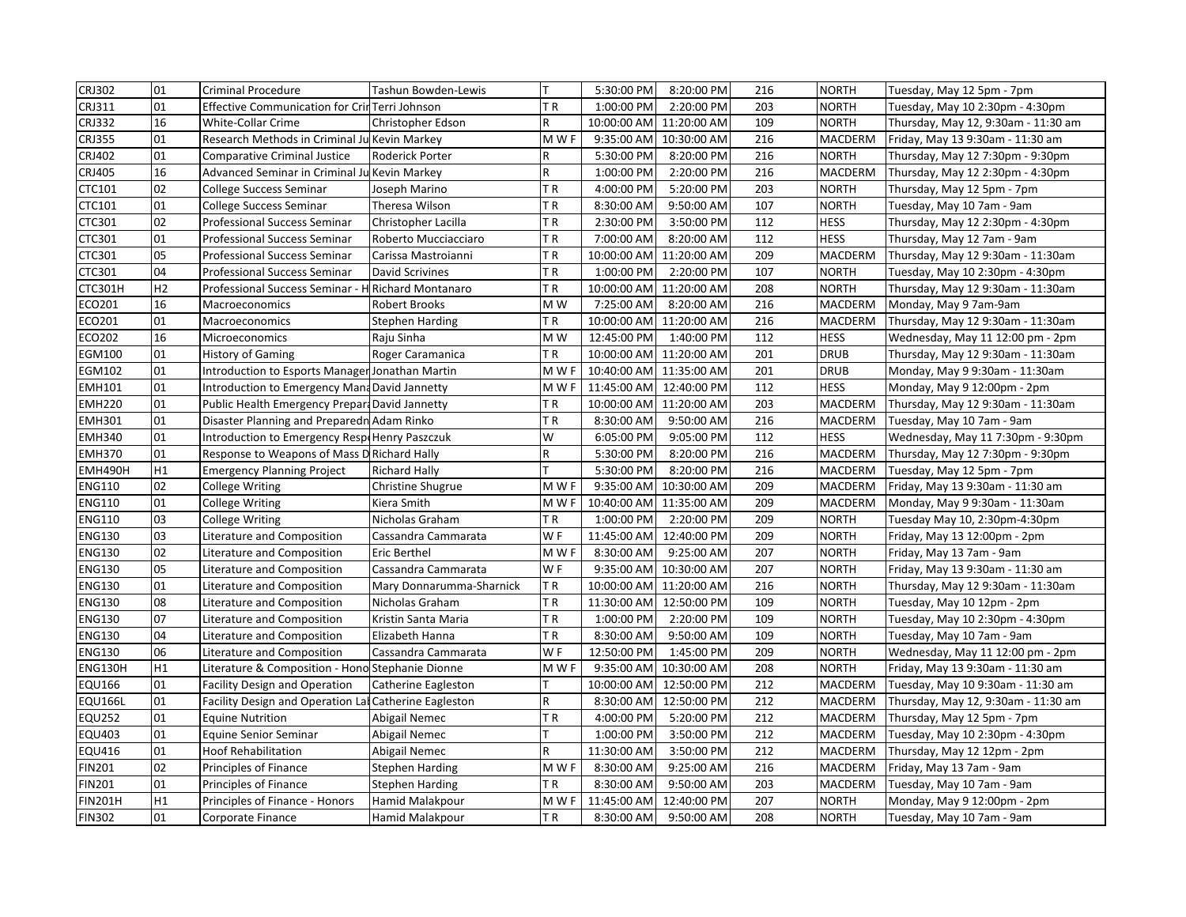| CRJ302         | 01             | Criminal Procedure                                          | Tashun Bowden-Lewis      | T.             | 5:30:00 PM  | 8:20:00 PM              | 216 | <b>NORTH</b>   | Tuesday, May 12 5pm - 7pm           |
|----------------|----------------|-------------------------------------------------------------|--------------------------|----------------|-------------|-------------------------|-----|----------------|-------------------------------------|
| CRJ311         | 01             | Effective Communication for CrinTerri Johnson               |                          | TR             | 1:00:00 PM  | 2:20:00 PM              | 203 | <b>NORTH</b>   | Tuesday, May 10 2:30pm - 4:30pm     |
| <b>CRJ332</b>  | 16             | White-Collar Crime                                          | Christopher Edson        | R              |             | 10:00:00 AM 11:20:00 AM | 109 | <b>NORTH</b>   | Thursday, May 12, 9:30am - 11:30 am |
| CRJ355         | 01             | Research Methods in Criminal Ju Kevin Markey                |                          | M W F          |             | 9:35:00 AM 10:30:00 AM  | 216 | MACDERM        | Friday, May 13 9:30am - 11:30 am    |
| CRJ402         | 01             | Comparative Criminal Justice                                | Roderick Porter          | R              | 5:30:00 PM  | 8:20:00 PM              | 216 | <b>NORTH</b>   | Thursday, May 12 7:30pm - 9:30pm    |
| <b>CRJ405</b>  | 16             | Advanced Seminar in Criminal Ju Kevin Markey                |                          | R              | 1:00:00 PM  | 2:20:00 PM              | 216 | MACDERM        | Thursday, May 12 2:30pm - 4:30pm    |
| CTC101         | 02             | College Success Seminar                                     | Joseph Marino            | ΤR             | 4:00:00 PM  | 5:20:00 PM              | 203 | <b>NORTH</b>   | Thursday, May 12 5pm - 7pm          |
| CTC101         | 01             | College Success Seminar                                     | Theresa Wilson           | TR             | 8:30:00 AM  | 9:50:00 AM              | 107 | <b>NORTH</b>   | Tuesday, May 10 7am - 9am           |
| CTC301         | 02             | Professional Success Seminar                                | Christopher Lacilla      | TR             | 2:30:00 PM  | 3:50:00 PM              | 112 | <b>HESS</b>    | Thursday, May 12 2:30pm - 4:30pm    |
| CTC301         | 01             | <b>Professional Success Seminar</b>                         | Roberto Mucciacciaro     | TR             | 7:00:00 AM  | 8:20:00 AM              | 112 | <b>HESS</b>    | Thursday, May 12 7am - 9am          |
| CTC301         | 05             | Professional Success Seminar                                | Carissa Mastroianni      | TR             |             | 10:00:00 AM 11:20:00 AM | 209 | <b>MACDERM</b> | Thursday, May 12 9:30am - 11:30am   |
| CTC301         | 04             | Professional Success Seminar                                | <b>David Scrivines</b>   | TR             | 1:00:00 PM  | 2:20:00 PM              | 107 | <b>NORTH</b>   | Tuesday, May 10 2:30pm - 4:30pm     |
| <b>CTC301H</b> | H <sub>2</sub> | Professional Success Seminar - HRichard Montanaro           |                          | TR             |             | 10:00:00 AM 11:20:00 AM | 208 | <b>NORTH</b>   | Thursday, May 12 9:30am - 11:30am   |
| ECO201         | 16             | Macroeconomics                                              | Robert Brooks            | M W            | 7:25:00 AM  | 8:20:00 AM              | 216 | MACDERM        | Monday, May 9 7am-9am               |
| ECO201         | 01             | Macroeconomics                                              | <b>Stephen Harding</b>   | ΤR             |             | 10:00:00 AM 11:20:00 AM | 216 | MACDERM        | Thursday, May 12 9:30am - 11:30am   |
| ECO202         | 16             | <b>Microeconomics</b>                                       | Raju Sinha               | M W            | 12:45:00 PM | 1:40:00 PM              | 112 | <b>HESS</b>    | Wednesday, May 11 12:00 pm - 2pm    |
| EGM100         | 01             | <b>History of Gaming</b>                                    | Roger Caramanica         | ΤR             |             | 10:00:00 AM 11:20:00 AM | 201 | <b>DRUB</b>    | Thursday, May 12 9:30am - 11:30am   |
| EGM102         | 01             | Introduction to Esports Manager Jonathan Martin             |                          | M W F          |             | 10:40:00 AM 11:35:00 AM | 201 | <b>DRUB</b>    | Monday, May 9 9:30am - 11:30am      |
| <b>EMH101</b>  | 01             | Introduction to Emergency Mana David Jannetty               |                          | M W F          |             | 11:45:00 AM 12:40:00 PM | 112 | <b>HESS</b>    | Monday, May 9 12:00pm - 2pm         |
| <b>EMH220</b>  | 01             | <b>Public Health Emergency Prepart David Jannetty</b>       |                          | TR             |             | 10:00:00 AM 11:20:00 AM | 203 | <b>MACDERM</b> | Thursday, May 12 9:30am - 11:30am   |
| <b>EMH301</b>  | 01             | Disaster Planning and Preparedn Adam Rinko                  |                          | TR             | 8:30:00 AM  | 9:50:00 AM              | 216 | MACDERM        | Tuesday, May 10 7am - 9am           |
| <b>EMH340</b>  | 01             | Introduction to Emergency RespoHenry Paszczuk               |                          | W              | 6:05:00 PM  | 9:05:00 PM              | 112 | <b>HESS</b>    | Wednesday, May 11 7:30pm - 9:30pm   |
| <b>EMH370</b>  | 01             | Response to Weapons of Mass D Richard Hally                 |                          | R              | 5:30:00 PM  | 8:20:00 PM              | 216 | MACDERM        | Thursday, May 12 7:30pm - 9:30pm    |
| EMH490H        | H <sub>1</sub> | <b>Emergency Planning Project</b>                           | <b>Richard Hally</b>     | т              | 5:30:00 PM  | 8:20:00 PM              | 216 | MACDERM        | Tuesday, May 12 5pm - 7pm           |
| <b>ENG110</b>  | 02             | College Writing                                             | Christine Shugrue        | M W F          |             | 9:35:00 AM 10:30:00 AM  | 209 | <b>MACDERM</b> | Friday, May 13 9:30am - 11:30 am    |
| <b>ENG110</b>  | 01             | College Writing                                             | Kiera Smith              | M W F          |             | 10:40:00 AM 11:35:00 AM | 209 | <b>MACDERM</b> | Monday, May 9 9:30am - 11:30am      |
| <b>ENG110</b>  | 03             | <b>College Writing</b>                                      | Nicholas Graham          | ΤR             | 1:00:00 PM  | 2:20:00 PM              | 209 | <b>NORTH</b>   | Tuesday May 10, 2:30pm-4:30pm       |
| <b>ENG130</b>  | 03             | Literature and Composition                                  | Cassandra Cammarata      | WF             |             | 11:45:00 AM 12:40:00 PM | 209 | <b>NORTH</b>   | Friday, May 13 12:00pm - 2pm        |
| <b>ENG130</b>  | 02             | Literature and Composition                                  | <b>Eric Berthel</b>      | M W F          | 8:30:00 AM  | 9:25:00 AM              | 207 | <b>NORTH</b>   | Friday, May 13 7am - 9am            |
| <b>ENG130</b>  | 05             | Literature and Composition                                  | Cassandra Cammarata      | W <sub>F</sub> |             | 9:35:00 AM 10:30:00 AM  | 207 | <b>NORTH</b>   | Friday, May 13 9:30am - 11:30 am    |
| <b>ENG130</b>  | 01             | Literature and Composition                                  | Mary Donnarumma-Sharnick | TR             |             | 10:00:00 AM 11:20:00 AM | 216 | <b>NORTH</b>   | Thursday, May 12 9:30am - 11:30am   |
| <b>ENG130</b>  | 08             | Literature and Composition                                  | Nicholas Graham          | TR             |             | 11:30:00 AM 12:50:00 PM | 109 | <b>NORTH</b>   | Tuesday, May 10 12pm - 2pm          |
| <b>ENG130</b>  | 07             | Literature and Composition                                  | Kristin Santa Maria      | ΤR             | 1:00:00 PM  | 2:20:00 PM              | 109 | <b>NORTH</b>   | Tuesday, May 10 2:30pm - 4:30pm     |
| <b>ENG130</b>  | 04             | Literature and Composition                                  | Elizabeth Hanna          | ΤR             | 8:30:00 AM  | 9:50:00 AM              | 109 | <b>NORTH</b>   | Tuesday, May 10 7am - 9am           |
| <b>ENG130</b>  | 06             | Literature and Composition                                  | Cassandra Cammarata      | WF             | 12:50:00 PM | 1:45:00 PM              | 209 | <b>NORTH</b>   | Wednesday, May 11 12:00 pm - 2pm    |
| ENG130H        | H1             | Literature & Composition - Hono Stephanie Dionne            |                          | M W F          |             | 9:35:00 AM 10:30:00 AM  | 208 | <b>NORTH</b>   | Friday, May 13 9:30am - 11:30 am    |
| <b>EQU166</b>  | 01             | <b>Facility Design and Operation</b><br>Catherine Eagleston |                          |                |             | 10:00:00 AM 12:50:00 PM | 212 | MACDERM        | Tuesday, May 10 9:30am - 11:30 am   |
| <b>EQU166L</b> | 01             | Facility Design and Operation Lal Catherine Eagleston       |                          | R              |             | 8:30:00 AM 12:50:00 PM  | 212 | <b>MACDERM</b> | Thursday, May 12, 9:30am - 11:30 am |
| <b>EQU252</b>  | 01             | <b>Equine Nutrition</b>                                     | Abigail Nemec            | ΤR             | 4:00:00 PM  | 5:20:00 PM              | 212 | MACDERM        | Thursday, May 12 5pm - 7pm          |
| <b>EQU403</b>  | 01             | Equine Senior Seminar                                       | Abigail Nemec            |                | 1:00:00 PM  | 3:50:00 PM              | 212 | MACDERM        | Tuesday, May 10 2:30pm - 4:30pm     |
| EQU416         | 01             | Hoof Rehabilitation                                         | Abigail Nemec            | R              | 11:30:00 AM | 3:50:00 PM              | 212 | MACDERM        | Thursday, May 12 12pm - 2pm         |
| <b>FIN201</b>  | 02             | Principles of Finance                                       | Stephen Harding          | M W F          | 8:30:00 AM  | 9:25:00 AM              | 216 | MACDERM        | Friday, May 13 7am - 9am            |
| <b>FIN201</b>  | 01             | Principles of Finance                                       | <b>Stephen Harding</b>   | ΤR             | 8:30:00 AM  | 9:50:00 AM              | 203 | MACDERM        | Tuesday, May 10 7am - 9am           |
| <b>FIN201H</b> | H1             | Principles of Finance - Honors                              | Hamid Malakpour          | M W F          | 11:45:00 AM | 12:40:00 PM             | 207 | <b>NORTH</b>   | Monday, May 9 12:00pm - 2pm         |
| <b>FIN302</b>  | 01             | Corporate Finance                                           | <b>Hamid Malakpour</b>   | TR             | 8:30:00 AM  | 9:50:00 AM              | 208 | <b>NORTH</b>   | Tuesday, May 10 7am - 9am           |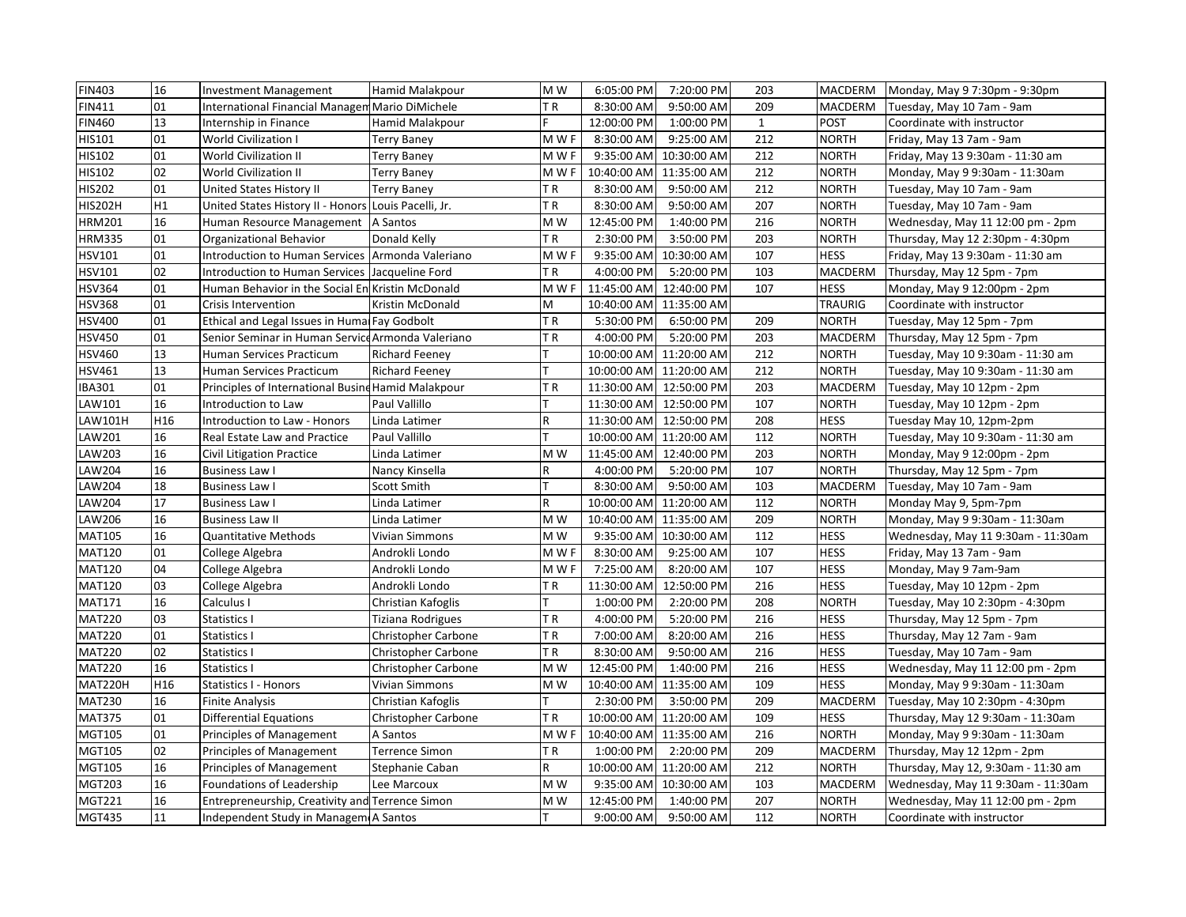| <b>FIN403</b>  | 16  | <b>Investment Management</b>                         | Hamid Malakpour       | M W         | 6:05:00 PM              | 7:20:00 PM              | 203          | <b>MACDERM</b> | Monday, May 9 7:30pm - 9:30pm       |
|----------------|-----|------------------------------------------------------|-----------------------|-------------|-------------------------|-------------------------|--------------|----------------|-------------------------------------|
| FIN411         | 01  | International Financial Managem Mario DiMichele      |                       | ΤR          | 8:30:00 AM              | 9:50:00 AM              | 209          | <b>MACDERM</b> | Tuesday, May 10 7am - 9am           |
| <b>FIN460</b>  | 13  | Internship in Finance                                | Hamid Malakpour       | F.          | 12:00:00 PM             | 1:00:00 PM              | $\mathbf{1}$ | <b>POST</b>    | Coordinate with instructor          |
| HIS101         | 01  | World Civilization I                                 | Terry Baney           | M W F       | 8:30:00 AM              | 9:25:00 AM              | 212          | <b>NORTH</b>   | Friday, May 13 7am - 9am            |
| HIS102         | 01  | World Civilization II                                | Terry Baney           | M W F       |                         | 9:35:00 AM 10:30:00 AM  | 212          | <b>NORTH</b>   | Friday, May 13 9:30am - 11:30 am    |
| <b>HIS102</b>  | 02  | World Civilization II                                | Terry Baney           | M W F       | 10:40:00 AM 11:35:00 AM |                         | 212          | <b>NORTH</b>   | Monday, May 9 9:30am - 11:30am      |
| <b>HIS202</b>  | 01  | United States History II                             | Terry Baney           | TR          | 8:30:00 AM              | 9:50:00 AM              | 212          | <b>NORTH</b>   | Tuesday, May 10 7am - 9am           |
| <b>HIS202H</b> | H1  | United States History II - Honors Louis Pacelli, Jr. |                       | ΤR          | 8:30:00 AM              | 9:50:00 AM              | 207          | <b>NORTH</b>   | Tuesday, May 10 7am - 9am           |
| <b>HRM201</b>  | 16  | Human Resource Management   A Santos                 |                       | M W         | 12:45:00 PM             | 1:40:00 PM              | 216          | <b>NORTH</b>   | Wednesday, May 11 12:00 pm - 2pm    |
| <b>HRM335</b>  | 01  | Organizational Behavior                              | Donald Kelly          | ΤR          | 2:30:00 PM              | 3:50:00 PM              | 203          | <b>NORTH</b>   | Thursday, May 12 2:30pm - 4:30pm    |
| <b>HSV101</b>  | 01  | Introduction to Human Services Armonda Valeriano     |                       | M W F       |                         | 9:35:00 AM 10:30:00 AM  | 107          | <b>HESS</b>    | Friday, May 13 9:30am - 11:30 am    |
| <b>HSV101</b>  | 02  | Introduction to Human Services   Jacqueline Ford     |                       | ΤR          | 4:00:00 PM              | 5:20:00 PM              | 103          | MACDERM        | Thursday, May 12 5pm - 7pm          |
| <b>HSV364</b>  | 01  | Human Behavior in the Social En Kristin McDonald     |                       | M W F       | 11:45:00 AM 12:40:00 PM |                         | 107          | <b>HESS</b>    | Monday, May 9 12:00pm - 2pm         |
| <b>HSV368</b>  | 01  | Crisis Intervention                                  | Kristin McDonald      | M           |                         | 10:40:00 AM 11:35:00 AM |              | <b>TRAURIG</b> | Coordinate with instructor          |
| <b>HSV400</b>  | 01  | Ethical and Legal Issues in Humal Fay Godbolt        |                       | TR          | 5:30:00 PM              | 6:50:00 PM              | 209          | <b>NORTH</b>   | Tuesday, May 12 5pm - 7pm           |
| <b>HSV450</b>  | 01  | Senior Seminar in Human ServiceArmonda Valeriano     |                       | TR          | 4:00:00 PM              | 5:20:00 PM              | 203          | MACDERM        | Thursday, May 12 5pm - 7pm          |
| <b>HSV460</b>  | 13  | Human Services Practicum                             | <b>Richard Feeney</b> |             |                         | 10:00:00 AM 11:20:00 AM | 212          | <b>NORTH</b>   | Tuesday, May 10 9:30am - 11:30 am   |
| <b>HSV461</b>  | 13  | Human Services Practicum                             | <b>Richard Feeney</b> |             |                         | 10:00:00 AM 11:20:00 AM | 212          | <b>NORTH</b>   | Tuesday, May 10 9:30am - 11:30 am   |
| <b>IBA301</b>  | 01  | Principles of International Busine Hamid Malakpour   |                       | TR          |                         | 11:30:00 AM 12:50:00 PM | 203          | <b>MACDERM</b> | Tuesday, May 10 12pm - 2pm          |
| LAW101         | 16  | Introduction to Law                                  | Paul Vallillo         |             |                         | 11:30:00 AM 12:50:00 PM | 107          | <b>NORTH</b>   | Tuesday, May 10 12pm - 2pm          |
| LAW101H        | H16 | Introduction to Law - Honors                         | Linda Latimer         | R           |                         | 11:30:00 AM 12:50:00 PM | 208          | <b>HESS</b>    | Tuesday May 10, 12pm-2pm            |
| LAW201         | 16  | Real Estate Law and Practice                         | Paul Vallillo         | т           |                         | 10:00:00 AM 11:20:00 AM | 112          | <b>NORTH</b>   | Tuesday, May 10 9:30am - 11:30 am   |
| LAW203         | 16  | Civil Litigation Practice                            | Linda Latimer         | M W         |                         | 11:45:00 AM 12:40:00 PM | 203          | <b>NORTH</b>   | Monday, May 9 12:00pm - 2pm         |
| LAW204         | 16  | Business Law I                                       | Nancy Kinsella        | R           | 4:00:00 PM              | 5:20:00 PM              | 107          | <b>NORTH</b>   | Thursday, May 12 5pm - 7pm          |
| <b>LAW204</b>  | 18  | <b>Business Law I</b>                                | Scott Smith           |             |                         | 8:30:00 AM 9:50:00 AM   | 103          | <b>MACDERM</b> | Tuesday, May 10 7am - 9am           |
| LAW204         | 17  | Business Law I                                       | Linda Latimer         | $\mathsf R$ |                         | 10:00:00 AM 11:20:00 AM | 112          | <b>NORTH</b>   | Monday May 9, 5pm-7pm               |
| LAW206         | 16  | <b>Business Law II</b>                               | Linda Latimer         | M W         |                         | 10:40:00 AM 11:35:00 AM | 209          | <b>NORTH</b>   | Monday, May 9 9:30am - 11:30am      |
| <b>MAT105</b>  | 16  | Quantitative Methods                                 | Vivian Simmons        | M W         |                         | 9:35:00 AM 10:30:00 AM  | 112          | <b>HESS</b>    | Wednesday, May 11 9:30am - 11:30am  |
| <b>MAT120</b>  | 01  | College Algebra                                      | Androkli Londo        | M W F       | 8:30:00 AM              | 9:25:00 AM              | 107          | <b>HESS</b>    | Friday, May 13 7am - 9am            |
| <b>MAT120</b>  | 04  | College Algebra                                      | Androkli Londo        | M W F       | 7:25:00 AM              | 8:20:00 AM              | 107          | <b>HESS</b>    | Monday, May 9 7am-9am               |
| <b>MAT120</b>  | 03  | College Algebra                                      | Androkli Londo        | TR          |                         | 11:30:00 AM 12:50:00 PM | 216          | <b>HESS</b>    | Tuesday, May 10 12pm - 2pm          |
| <b>MAT171</b>  | 16  | Calculus I                                           | Christian Kafoglis    |             | 1:00:00 PM              | 2:20:00 PM              | 208          | <b>NORTH</b>   | Tuesday, May 10 2:30pm - 4:30pm     |
| <b>MAT220</b>  | 03  | Statistics I                                         | Tiziana Rodrigues     | ΤR          | 4:00:00 PM              | 5:20:00 PM              | 216          | <b>HESS</b>    | Thursday, May 12 5pm - 7pm          |
| <b>MAT220</b>  | 01  | Statistics I                                         | Christopher Carbone   | TR          | 7:00:00 AM              | 8:20:00 AM              | 216          | <b>HESS</b>    | Thursday, May 12 7am - 9am          |
| <b>MAT220</b>  | 02  | Statistics I                                         | Christopher Carbone   | TR          | 8:30:00 AM              | 9:50:00 AM              | 216          | <b>HESS</b>    | Tuesday, May 10 7am - 9am           |
| <b>MAT220</b>  | 16  | Statistics I                                         | Christopher Carbone   | M W         | 12:45:00 PM             | 1:40:00 PM              | 216          | <b>HESS</b>    | Wednesday, May 11 12:00 pm - 2pm    |
| MAT220H        | H16 | <b>Statistics I - Honors</b>                         | Vivian Simmons        | M W         |                         | 10:40:00 AM 11:35:00 AM | 109          | <b>HESS</b>    | Monday, May 9 9:30am - 11:30am      |
| <b>MAT230</b>  | 16  | <b>Finite Analysis</b>                               | Christian Kafoglis    |             | 2:30:00 PM              | 3:50:00 PM              | 209          | MACDERM        | Tuesday, May 10 2:30pm - 4:30pm     |
| <b>MAT375</b>  | 01  | Differential Equations                               | Christopher Carbone   | ΤR          |                         | 10:00:00 AM 11:20:00 AM | 109          | <b>HESS</b>    | Thursday, May 12 9:30am - 11:30am   |
| <b>MGT105</b>  | 01  | Principles of Management                             | A Santos              | M W F       | 10:40:00 AM 11:35:00 AM |                         | 216          | <b>NORTH</b>   | Monday, May 9 9:30am - 11:30am      |
| <b>MGT105</b>  | 02  | Principles of Management                             | <b>Terrence Simon</b> | TR.         | 1:00:00 PM              | 2:20:00 PM              | 209          | <b>MACDERM</b> | Thursday, May 12 12pm - 2pm         |
| <b>MGT105</b>  | 16  | Principles of Management                             | Stephanie Caban       | R           |                         | 10:00:00 AM 11:20:00 AM | 212          | <b>NORTH</b>   | Thursday, May 12, 9:30am - 11:30 am |
| <b>MGT203</b>  | 16  | Foundations of Leadership                            | Lee Marcoux           | M W         |                         | 9:35:00 AM 10:30:00 AM  | 103          | MACDERM        | Wednesday, May 11 9:30am - 11:30am  |
| <b>MGT221</b>  | 16  | Entrepreneurship, Creativity and Terrence Simon      |                       | M W         | 12:45:00 PM             | 1:40:00 PM              | 207          | <b>NORTH</b>   | Wednesday, May 11 12:00 pm - 2pm    |
| <b>MGT435</b>  | 11  | Independent Study in Managem A Santos                |                       |             |                         | 9:00:00 AM 9:50:00 AM   | 112          | <b>NORTH</b>   | Coordinate with instructor          |